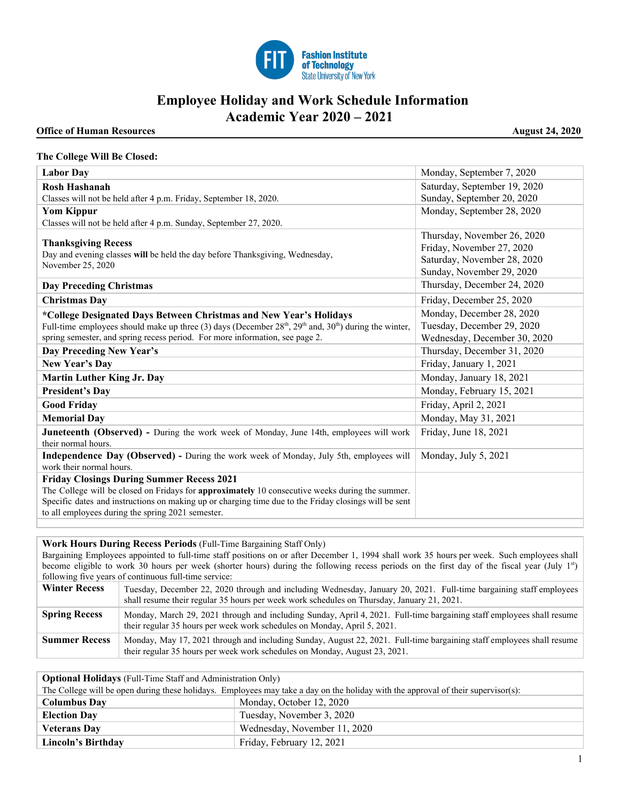

## **Employee Holiday and Work Schedule Information Academic Year 2020 – 2021**

## **Office of Human Resources August 24, 2020**

## **The College Will Be Closed:**

| <b>Labor Day</b>                                                                                                                                                                                                                                                     | Monday, September 7, 2020                                                                                            |
|----------------------------------------------------------------------------------------------------------------------------------------------------------------------------------------------------------------------------------------------------------------------|----------------------------------------------------------------------------------------------------------------------|
| Rosh Hashanah                                                                                                                                                                                                                                                        | Saturday, September 19, 2020                                                                                         |
| Classes will not be held after 4 p.m. Friday, September 18, 2020.                                                                                                                                                                                                    | Sunday, September 20, 2020                                                                                           |
| <b>Yom Kippur</b>                                                                                                                                                                                                                                                    | Monday, September 28, 2020                                                                                           |
| Classes will not be held after 4 p.m. Sunday, September 27, 2020.                                                                                                                                                                                                    |                                                                                                                      |
| <b>Thanksgiving Recess</b><br>Day and evening classes will be held the day before Thanksgiving, Wednesday,<br>November 25, 2020                                                                                                                                      | Thursday, November 26, 2020<br>Friday, November 27, 2020<br>Saturday, November 28, 2020<br>Sunday, November 29, 2020 |
| <b>Day Preceding Christmas</b>                                                                                                                                                                                                                                       | Thursday, December 24, 2020                                                                                          |
| <b>Christmas Day</b>                                                                                                                                                                                                                                                 | Friday, December 25, 2020                                                                                            |
| *College Designated Days Between Christmas and New Year's Holidays                                                                                                                                                                                                   | Monday, December 28, 2020                                                                                            |
| Full-time employees should make up three (3) days (December $28th$ , $29th$ and, $30th$ ) during the winter,                                                                                                                                                         | Tuesday, December 29, 2020                                                                                           |
| spring semester, and spring recess period. For more information, see page 2.                                                                                                                                                                                         | Wednesday, December 30, 2020                                                                                         |
| Day Preceding New Year's                                                                                                                                                                                                                                             | Thursday, December 31, 2020                                                                                          |
| New Year's Day                                                                                                                                                                                                                                                       | Friday, January 1, 2021                                                                                              |
| <b>Martin Luther King Jr. Day</b>                                                                                                                                                                                                                                    | Monday, January 18, 2021                                                                                             |
| <b>President's Day</b>                                                                                                                                                                                                                                               | Monday, February 15, 2021                                                                                            |
| <b>Good Friday</b>                                                                                                                                                                                                                                                   | Friday, April 2, 2021                                                                                                |
| <b>Memorial Day</b>                                                                                                                                                                                                                                                  | Monday, May 31, 2021                                                                                                 |
| <b>Juneteenth (Observed)</b> - During the work week of Monday, June 14th, employees will work<br>their normal hours.                                                                                                                                                 | Friday, June 18, 2021                                                                                                |
| <b>Independence Day (Observed)</b> - During the work week of Monday, July 5th, employees will<br>work their normal hours.                                                                                                                                            | Monday, July 5, 2021                                                                                                 |
| <b>Friday Closings During Summer Recess 2021</b>                                                                                                                                                                                                                     |                                                                                                                      |
| The College will be closed on Fridays for <b>approximately</b> 10 consecutive weeks during the summer.<br>Specific dates and instructions on making up or charging time due to the Friday closings will be sent<br>to all employees during the spring 2021 semester. |                                                                                                                      |

**Work Hours During Recess Periods** (Full-Time Bargaining Staff Only)

Bargaining Employees appointed to full-time staff positions on or after December 1, 1994 shall work 35 hours per week. Such employees shall become eligible to work 30 hours per week (shorter hours) during the following recess periods on the first day of the fiscal year (July 1<sup>st</sup>) following five years of continuous full-time service:

| <b>Winter Recess</b> | Tuesday, December 22, 2020 through and including Wednesday, January 20, 2021. Full-time bargaining staff employees<br>shall resume their regular 35 hours per week work schedules on Thursday, January 21, 2021. |
|----------------------|------------------------------------------------------------------------------------------------------------------------------------------------------------------------------------------------------------------|
| <b>Spring Recess</b> | Monday, March 29, 2021 through and including Sunday, April 4, 2021. Full-time bargaining staff employees shall resume<br>their regular 35 hours per week work schedules on Monday, April 5, 2021.                |
| <b>Summer Recess</b> | Monday, May 17, 2021 through and including Sunday, August 22, 2021. Full-time bargaining staff employees shall resume<br>their regular 35 hours per week work schedules on Monday, August 23, 2021.              |

| <b>Optional Holidays</b> (Full-Time Staff and Administration Only)                                                                |                              |  |
|-----------------------------------------------------------------------------------------------------------------------------------|------------------------------|--|
| The College will be open during these holidays. Employees may take a day on the holiday with the approval of their supervisor(s): |                              |  |
| <b>Columbus Day</b>                                                                                                               | Monday, October 12, 2020     |  |
| <b>Election Day</b>                                                                                                               | Tuesday, November 3, 2020    |  |
| <b>Veterans Dav</b>                                                                                                               | Wednesday, November 11, 2020 |  |
| Lincoln's Birthday                                                                                                                | Friday, February 12, 2021    |  |